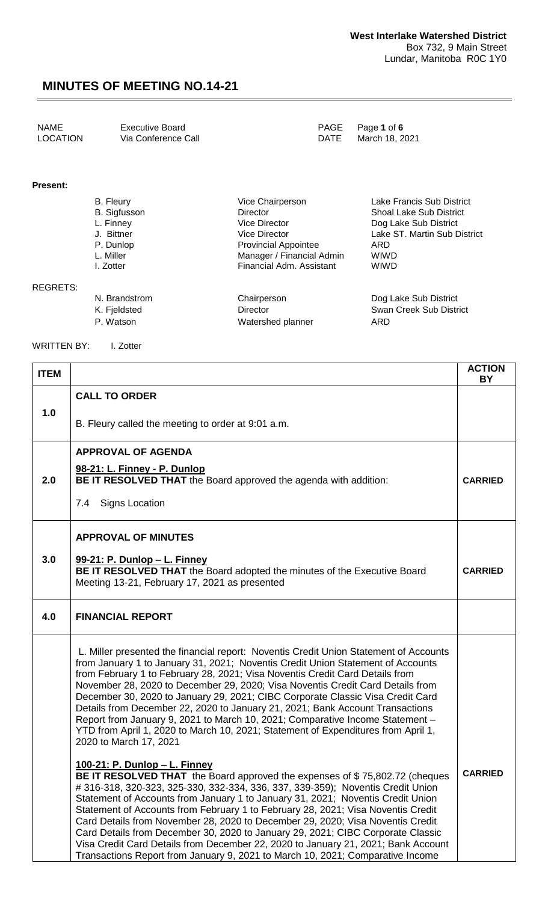| NAME     | Executive Board     |      | PAGE Page 1 of 6 |
|----------|---------------------|------|------------------|
| LOCATION | Via Conference Call | DATE | March 18. 2021   |

#### **Present:**

REGRETS:

| B. Fleury           | Vice Chairperson            | Lake Francis Sub District      |
|---------------------|-----------------------------|--------------------------------|
| <b>B.</b> Sigfusson | <b>Director</b>             | <b>Shoal Lake Sub District</b> |
| L. Finney           | Vice Director               | Dog Lake Sub District          |
| J. Bittner          | Vice Director               | Lake ST. Martin Sub District   |
| P. Dunlop           | <b>Provincial Appointee</b> | ARD                            |
| L. Miller           | Manager / Financial Admin   | <b>WIWD</b>                    |
| I. Zotter           | Financial Adm. Assistant    | <b>WIWD</b>                    |
| N. Brandstrom       | Chairperson                 | Dog Lake Sub District          |

| N. Brandstrom | Chairperson       | Dog Lake Sub District   |
|---------------|-------------------|-------------------------|
| K. Fjeldsted  | Director          | Swan Creek Sub District |
| P. Watson     | Watershed planner | ARD                     |

**ITEM ACTION** 

WRITTEN BY: I. Zotter

| I I CIVI |                                                                                                                                                                                                                                                                                                                                                                                                                                                                                                                                                                                                                                                                                                               | <b>BY</b>      |
|----------|---------------------------------------------------------------------------------------------------------------------------------------------------------------------------------------------------------------------------------------------------------------------------------------------------------------------------------------------------------------------------------------------------------------------------------------------------------------------------------------------------------------------------------------------------------------------------------------------------------------------------------------------------------------------------------------------------------------|----------------|
|          | <b>CALL TO ORDER</b>                                                                                                                                                                                                                                                                                                                                                                                                                                                                                                                                                                                                                                                                                          |                |
| 1.0      | B. Fleury called the meeting to order at 9:01 a.m.                                                                                                                                                                                                                                                                                                                                                                                                                                                                                                                                                                                                                                                            |                |
|          | <b>APPROVAL OF AGENDA</b><br>98-21: L. Finney - P. Dunlop                                                                                                                                                                                                                                                                                                                                                                                                                                                                                                                                                                                                                                                     |                |
| 2.0      | BE IT RESOLVED THAT the Board approved the agenda with addition:                                                                                                                                                                                                                                                                                                                                                                                                                                                                                                                                                                                                                                              | <b>CARRIED</b> |
|          | <b>Signs Location</b><br>7.4                                                                                                                                                                                                                                                                                                                                                                                                                                                                                                                                                                                                                                                                                  |                |
|          | <b>APPROVAL OF MINUTES</b>                                                                                                                                                                                                                                                                                                                                                                                                                                                                                                                                                                                                                                                                                    |                |
| 3.0      | 99-21: P. Dunlop - L. Finney<br>BE IT RESOLVED THAT the Board adopted the minutes of the Executive Board<br>Meeting 13-21, February 17, 2021 as presented                                                                                                                                                                                                                                                                                                                                                                                                                                                                                                                                                     | <b>CARRIED</b> |
| 4.0      | <b>FINANCIAL REPORT</b>                                                                                                                                                                                                                                                                                                                                                                                                                                                                                                                                                                                                                                                                                       |                |
|          | L. Miller presented the financial report: Noventis Credit Union Statement of Accounts<br>from January 1 to January 31, 2021; Noventis Credit Union Statement of Accounts<br>from February 1 to February 28, 2021; Visa Noventis Credit Card Details from<br>November 28, 2020 to December 29, 2020; Visa Noventis Credit Card Details from<br>December 30, 2020 to January 29, 2021; CIBC Corporate Classic Visa Credit Card<br>Details from December 22, 2020 to January 21, 2021; Bank Account Transactions<br>Report from January 9, 2021 to March 10, 2021; Comparative Income Statement -<br>YTD from April 1, 2020 to March 10, 2021; Statement of Expenditures from April 1,<br>2020 to March 17, 2021 |                |
|          | 100-21: P. Dunlop - L. Finney<br>BE IT RESOLVED THAT the Board approved the expenses of \$75,802.72 (cheques<br># 316-318, 320-323, 325-330, 332-334, 336, 337, 339-359); Noventis Credit Union<br>Statement of Accounts from January 1 to January 31, 2021; Noventis Credit Union<br>Statement of Accounts from February 1 to February 28, 2021; Visa Noventis Credit                                                                                                                                                                                                                                                                                                                                        | <b>CARRIED</b> |

Card Details from November 28, 2020 to December 29, 2020; Visa Noventis Credit Card Details from December 30, 2020 to January 29, 2021; CIBC Corporate Classic Visa Credit Card Details from December 22, 2020 to January 21, 2021; Bank Account Transactions Report from January 9, 2021 to March 10, 2021; Comparative Income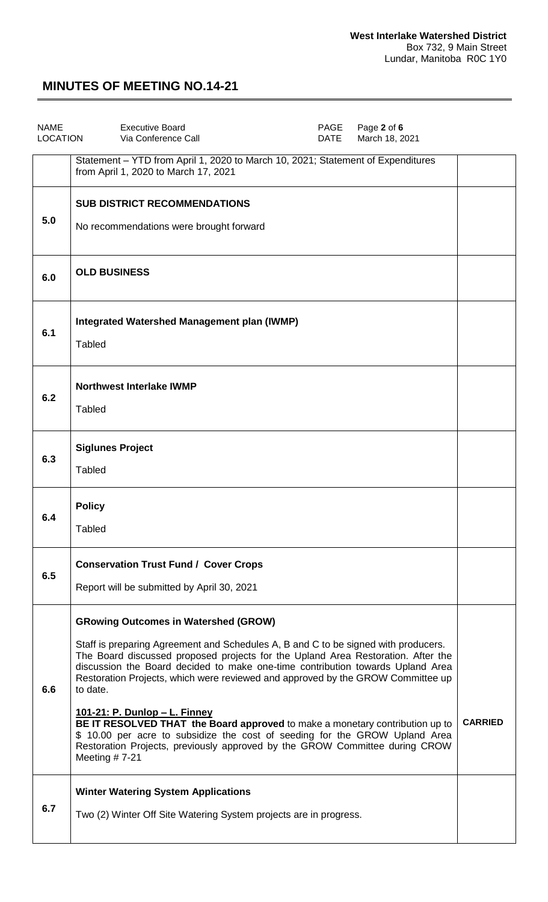| <b>NAME</b><br><b>LOCATION</b> | <b>Executive Board</b><br>PAGE<br>Page 2 of 6<br>Via Conference Call<br>March 18, 2021<br>DATE                                                                                                                                                                                                                                                                                                                                                                                                                                                                                                                                                                                                                    |                |
|--------------------------------|-------------------------------------------------------------------------------------------------------------------------------------------------------------------------------------------------------------------------------------------------------------------------------------------------------------------------------------------------------------------------------------------------------------------------------------------------------------------------------------------------------------------------------------------------------------------------------------------------------------------------------------------------------------------------------------------------------------------|----------------|
|                                | Statement - YTD from April 1, 2020 to March 10, 2021; Statement of Expenditures<br>from April 1, 2020 to March 17, 2021                                                                                                                                                                                                                                                                                                                                                                                                                                                                                                                                                                                           |                |
| 5.0                            | <b>SUB DISTRICT RECOMMENDATIONS</b><br>No recommendations were brought forward                                                                                                                                                                                                                                                                                                                                                                                                                                                                                                                                                                                                                                    |                |
| 6.0                            | <b>OLD BUSINESS</b>                                                                                                                                                                                                                                                                                                                                                                                                                                                                                                                                                                                                                                                                                               |                |
| 6.1                            | <b>Integrated Watershed Management plan (IWMP)</b><br><b>Tabled</b>                                                                                                                                                                                                                                                                                                                                                                                                                                                                                                                                                                                                                                               |                |
| 6.2                            | <b>Northwest Interlake IWMP</b><br><b>Tabled</b>                                                                                                                                                                                                                                                                                                                                                                                                                                                                                                                                                                                                                                                                  |                |
| 6.3                            | <b>Siglunes Project</b><br><b>Tabled</b>                                                                                                                                                                                                                                                                                                                                                                                                                                                                                                                                                                                                                                                                          |                |
| 6.4                            | <b>Policy</b><br>Tabled                                                                                                                                                                                                                                                                                                                                                                                                                                                                                                                                                                                                                                                                                           |                |
| 6.5                            | <b>Conservation Trust Fund / Cover Crops</b><br>Report will be submitted by April 30, 2021                                                                                                                                                                                                                                                                                                                                                                                                                                                                                                                                                                                                                        |                |
| 6.6                            | <b>GRowing Outcomes in Watershed (GROW)</b><br>Staff is preparing Agreement and Schedules A, B and C to be signed with producers.<br>The Board discussed proposed projects for the Upland Area Restoration. After the<br>discussion the Board decided to make one-time contribution towards Upland Area<br>Restoration Projects, which were reviewed and approved by the GROW Committee up<br>to date.<br><u> 101-21: P. Dunlop – L. Finney</u><br>BE IT RESOLVED THAT the Board approved to make a monetary contribution up to<br>\$ 10.00 per acre to subsidize the cost of seeding for the GROW Upland Area<br>Restoration Projects, previously approved by the GROW Committee during CROW<br>Meeting $# 7-21$ | <b>CARRIED</b> |
| 6.7                            | <b>Winter Watering System Applications</b><br>Two (2) Winter Off Site Watering System projects are in progress.                                                                                                                                                                                                                                                                                                                                                                                                                                                                                                                                                                                                   |                |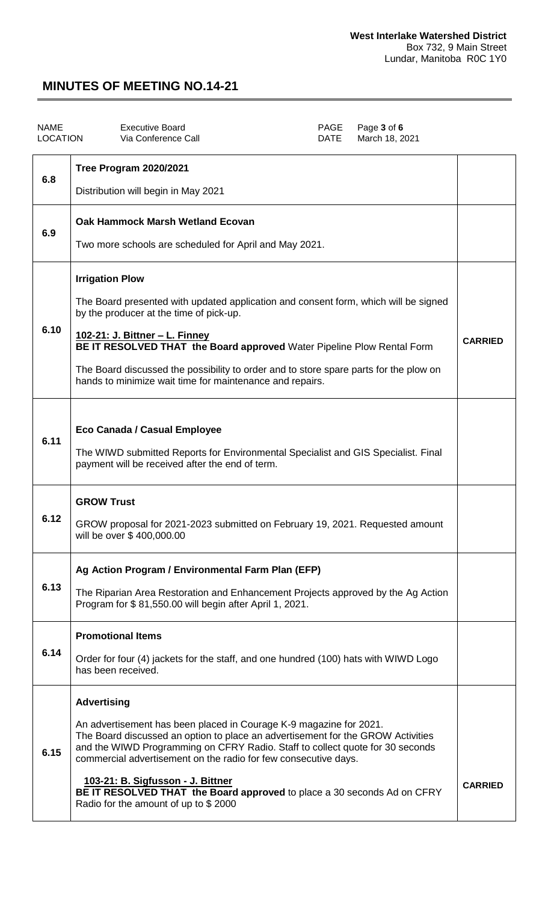| <b>NAME</b><br><b>LOCATION</b> | PAGE<br>Page 3 of 6<br><b>Executive Board</b><br><b>DATE</b><br>Via Conference Call<br>March 18, 2021                                                                                                                                                                                                                                                                                                                                                                                   |                |
|--------------------------------|-----------------------------------------------------------------------------------------------------------------------------------------------------------------------------------------------------------------------------------------------------------------------------------------------------------------------------------------------------------------------------------------------------------------------------------------------------------------------------------------|----------------|
| 6.8                            | Tree Program 2020/2021<br>Distribution will begin in May 2021                                                                                                                                                                                                                                                                                                                                                                                                                           |                |
| 6.9                            | Oak Hammock Marsh Wetland Ecovan<br>Two more schools are scheduled for April and May 2021.                                                                                                                                                                                                                                                                                                                                                                                              |                |
| 6.10                           | <b>Irrigation Plow</b><br>The Board presented with updated application and consent form, which will be signed<br>by the producer at the time of pick-up.<br><u> 102-21: J. Bittner - L. Finney</u><br>BE IT RESOLVED THAT the Board approved Water Pipeline Plow Rental Form<br>The Board discussed the possibility to order and to store spare parts for the plow on<br>hands to minimize wait time for maintenance and repairs.                                                       | <b>CARRIED</b> |
| 6.11                           | Eco Canada / Casual Employee<br>The WIWD submitted Reports for Environmental Specialist and GIS Specialist. Final<br>payment will be received after the end of term.                                                                                                                                                                                                                                                                                                                    |                |
| 6.12                           | <b>GROW Trust</b><br>GROW proposal for 2021-2023 submitted on February 19, 2021. Requested amount<br>will be over \$400,000.00                                                                                                                                                                                                                                                                                                                                                          |                |
| 6.13                           | Ag Action Program / Environmental Farm Plan (EFP)<br>The Riparian Area Restoration and Enhancement Projects approved by the Ag Action<br>Program for \$81,550.00 will begin after April 1, 2021.                                                                                                                                                                                                                                                                                        |                |
| 6.14                           | <b>Promotional Items</b><br>Order for four (4) jackets for the staff, and one hundred (100) hats with WIWD Logo<br>has been received.                                                                                                                                                                                                                                                                                                                                                   |                |
| 6.15                           | <b>Advertising</b><br>An advertisement has been placed in Courage K-9 magazine for 2021.<br>The Board discussed an option to place an advertisement for the GROW Activities<br>and the WIWD Programming on CFRY Radio. Staff to collect quote for 30 seconds<br>commercial advertisement on the radio for few consecutive days.<br>103-21: B. Sigfusson - J. Bittner<br>BE IT RESOLVED THAT the Board approved to place a 30 seconds Ad on CFRY<br>Radio for the amount of up to \$2000 | <b>CARRIED</b> |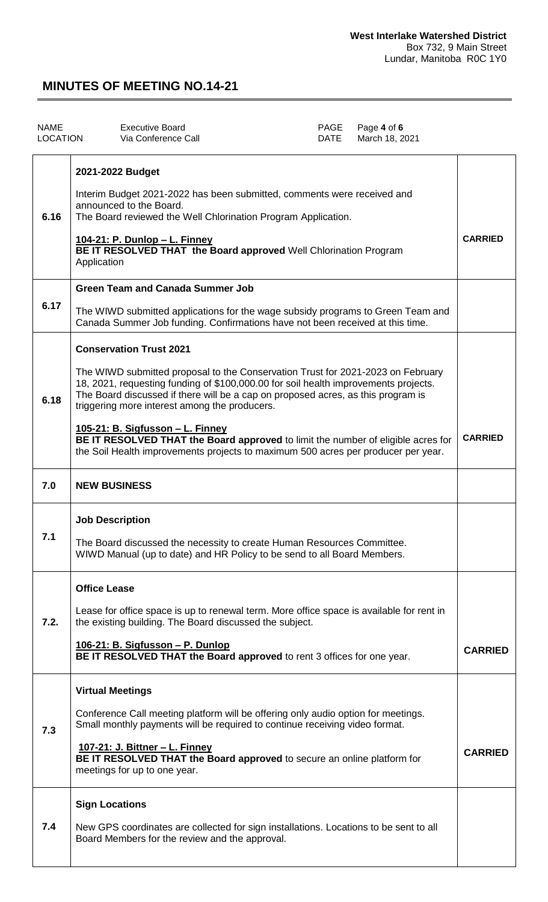| <b>NAME</b><br>LOCATION | <b>Executive Board</b><br>Via Conference Call                                                                                                                                                                                                                                                                                                                                                                                                                                                                                                              | PAGE<br><b>DATE</b> | Page 4 of 6<br>March 18, 2021 |                |
|-------------------------|------------------------------------------------------------------------------------------------------------------------------------------------------------------------------------------------------------------------------------------------------------------------------------------------------------------------------------------------------------------------------------------------------------------------------------------------------------------------------------------------------------------------------------------------------------|---------------------|-------------------------------|----------------|
| 6.16                    | 2021-2022 Budget<br>Interim Budget 2021-2022 has been submitted, comments were received and<br>announced to the Board.<br>The Board reviewed the Well Chlorination Program Application.<br><u> 104-21: P. Dunlop – L. Finney</u><br>BE IT RESOLVED THAT the Board approved Well Chlorination Program<br>Application                                                                                                                                                                                                                                        |                     |                               | <b>CARRIED</b> |
| 6.17                    | <b>Green Team and Canada Summer Job</b><br>The WIWD submitted applications for the wage subsidy programs to Green Team and<br>Canada Summer Job funding. Confirmations have not been received at this time.                                                                                                                                                                                                                                                                                                                                                |                     |                               |                |
| 6.18                    | <b>Conservation Trust 2021</b><br>The WIWD submitted proposal to the Conservation Trust for 2021-2023 on February<br>18, 2021, requesting funding of \$100,000.00 for soil health improvements projects.<br>The Board discussed if there will be a cap on proposed acres, as this program is<br>triggering more interest among the producers.<br>105-21: B. Sigfusson - L. Finney<br>BE IT RESOLVED THAT the Board approved to limit the number of eligible acres for<br>the Soil Health improvements projects to maximum 500 acres per producer per year. |                     |                               | <b>CARRIED</b> |
| 7.0                     | <b>NEW BUSINESS</b>                                                                                                                                                                                                                                                                                                                                                                                                                                                                                                                                        |                     |                               |                |
| 7.1                     | <b>Job Description</b><br>The Board discussed the necessity to create Human Resources Committee.<br>WIWD Manual (up to date) and HR Policy to be send to all Board Members.                                                                                                                                                                                                                                                                                                                                                                                |                     |                               |                |
| 7.2.                    | <b>Office Lease</b><br>Lease for office space is up to renewal term. More office space is available for rent in<br>the existing building. The Board discussed the subject.<br>106-21: B. Sigfusson - P. Dunlop<br>BE IT RESOLVED THAT the Board approved to rent 3 offices for one year.                                                                                                                                                                                                                                                                   |                     |                               | <b>CARRIED</b> |
| 7.3                     | <b>Virtual Meetings</b><br>Conference Call meeting platform will be offering only audio option for meetings.<br>Small monthly payments will be required to continue receiving video format.<br><u> 107-21: J. Bittner – L. Finney</u><br>BE IT RESOLVED THAT the Board approved to secure an online platform for<br>meetings for up to one year.                                                                                                                                                                                                           |                     |                               | <b>CARRIED</b> |
| 7.4                     | <b>Sign Locations</b><br>New GPS coordinates are collected for sign installations. Locations to be sent to all<br>Board Members for the review and the approval.                                                                                                                                                                                                                                                                                                                                                                                           |                     |                               |                |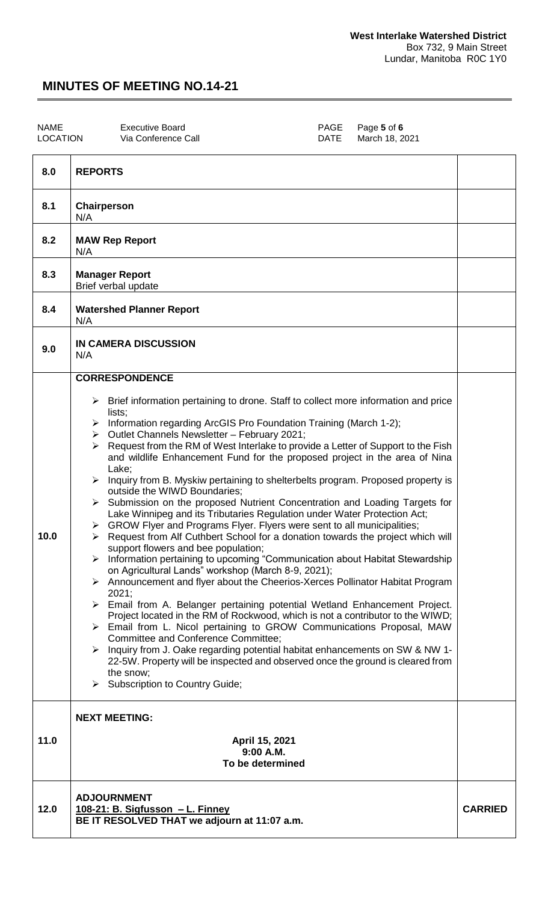| <b>NAME</b><br><b>LOCATION</b> |                  | <b>Executive Board</b><br>Via Conference Call | PAGE<br>DATE | Page 5 of 6<br>March 18, 2021 |  |
|--------------------------------|------------------|-----------------------------------------------|--------------|-------------------------------|--|
| 8.0                            | <b>REPORTS</b>   |                                               |              |                               |  |
| 8.1                            | Chairperson<br>. |                                               |              |                               |  |

| 12.0 | <b>ADJOURNMENT</b><br><u> 108-21: B. Sigfusson – L. Finney</u><br>BE IT RESOLVED THAT we adjourn at 11:07 a.m.                                                                                                                                                                                                                                                                                                                                                                                                                                                                                                                                                                                                                                                                                                                                                                                                                                                                                                                                                                                                                                                                                                                                                                                                                                                                                                                                                                                                                                                                                                                                                                                                                    | <b>CARRIED</b> |
|------|-----------------------------------------------------------------------------------------------------------------------------------------------------------------------------------------------------------------------------------------------------------------------------------------------------------------------------------------------------------------------------------------------------------------------------------------------------------------------------------------------------------------------------------------------------------------------------------------------------------------------------------------------------------------------------------------------------------------------------------------------------------------------------------------------------------------------------------------------------------------------------------------------------------------------------------------------------------------------------------------------------------------------------------------------------------------------------------------------------------------------------------------------------------------------------------------------------------------------------------------------------------------------------------------------------------------------------------------------------------------------------------------------------------------------------------------------------------------------------------------------------------------------------------------------------------------------------------------------------------------------------------------------------------------------------------------------------------------------------------|----------------|
| 11.0 | <b>NEXT MEETING:</b><br>April 15, 2021<br>9:00 A.M.<br>To be determined                                                                                                                                                                                                                                                                                                                                                                                                                                                                                                                                                                                                                                                                                                                                                                                                                                                                                                                                                                                                                                                                                                                                                                                                                                                                                                                                                                                                                                                                                                                                                                                                                                                           |                |
| 10.0 | <b>CORRESPONDENCE</b><br>$\triangleright$ Brief information pertaining to drone. Staff to collect more information and price<br>lists:<br>Information regarding ArcGIS Pro Foundation Training (March 1-2);<br>➤<br>Outlet Channels Newsletter - February 2021;<br>≻<br>Request from the RM of West Interlake to provide a Letter of Support to the Fish<br>➤<br>and wildlife Enhancement Fund for the proposed project in the area of Nina<br>Lake;<br>> Inquiry from B. Myskiw pertaining to shelterbelts program. Proposed property is<br>outside the WIWD Boundaries;<br>$\triangleright$ Submission on the proposed Nutrient Concentration and Loading Targets for<br>Lake Winnipeg and its Tributaries Regulation under Water Protection Act;<br>> GROW Flyer and Programs Flyer. Flyers were sent to all municipalities;<br>Request from Alf Cuthbert School for a donation towards the project which will<br>➤<br>support flowers and bee population;<br>Information pertaining to upcoming "Communication about Habitat Stewardship<br>➤<br>on Agricultural Lands" workshop (March 8-9, 2021);<br>Announcement and flyer about the Cheerios-Xerces Pollinator Habitat Program<br>➤<br>2021;<br>> Email from A. Belanger pertaining potential Wetland Enhancement Project.<br>Project located in the RM of Rockwood, which is not a contributor to the WIWD;<br>> Email from L. Nicol pertaining to GROW Communications Proposal, MAW<br><b>Committee and Conference Committee;</b><br>Inquiry from J. Oake regarding potential habitat enhancements on SW & NW 1-<br>➤<br>22-5W. Property will be inspected and observed once the ground is cleared from<br>the snow;<br>$\triangleright$ Subscription to Country Guide; |                |
| 9.0  | <b>IN CAMERA DISCUSSION</b><br>N/A                                                                                                                                                                                                                                                                                                                                                                                                                                                                                                                                                                                                                                                                                                                                                                                                                                                                                                                                                                                                                                                                                                                                                                                                                                                                                                                                                                                                                                                                                                                                                                                                                                                                                                |                |
| 8.4  | <b>Watershed Planner Report</b><br>N/A                                                                                                                                                                                                                                                                                                                                                                                                                                                                                                                                                                                                                                                                                                                                                                                                                                                                                                                                                                                                                                                                                                                                                                                                                                                                                                                                                                                                                                                                                                                                                                                                                                                                                            |                |
| 8.3  | <b>Manager Report</b><br>Brief verbal update                                                                                                                                                                                                                                                                                                                                                                                                                                                                                                                                                                                                                                                                                                                                                                                                                                                                                                                                                                                                                                                                                                                                                                                                                                                                                                                                                                                                                                                                                                                                                                                                                                                                                      |                |
| 8.2  | <b>MAW Rep Report</b><br>N/A                                                                                                                                                                                                                                                                                                                                                                                                                                                                                                                                                                                                                                                                                                                                                                                                                                                                                                                                                                                                                                                                                                                                                                                                                                                                                                                                                                                                                                                                                                                                                                                                                                                                                                      |                |
|      | N/A                                                                                                                                                                                                                                                                                                                                                                                                                                                                                                                                                                                                                                                                                                                                                                                                                                                                                                                                                                                                                                                                                                                                                                                                                                                                                                                                                                                                                                                                                                                                                                                                                                                                                                                               |                |